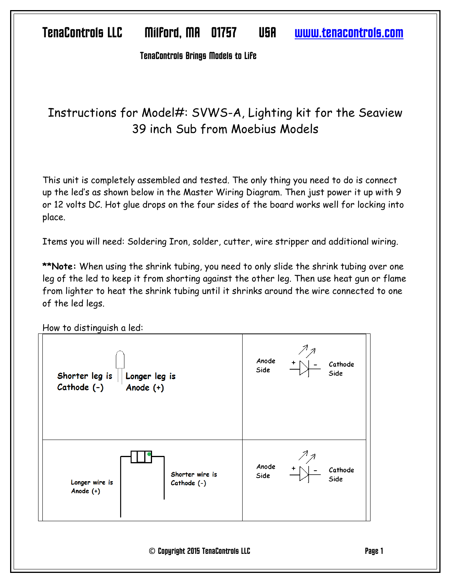Ten^Controls Brings Models to Life

# Instructions for Model#: SVWS-A, Lighting kit for the Seaview 39 inch Sub from Moebius Models

This unit is completely assembled and tested. The only thing you need to do is connect up the led's as shown below in the Master Wiring Diagram. Then just power it up with 9 or 12 volts DC. Hot glue drops on the four sides of the board works well for locking into place.

Items you will need: Soldering Iron, solder, cutter, wire stripper and additional wiring.

**\*\*Note:** When using the shrink tubing, you need to only slide the shrink tubing over one leg of the led to keep it from shorting against the other leg. Then use heat gun or flame from lighter to heat the shrink tubing until it shrinks around the wire connected to one of the led legs.



How to distinguish a led:

© Copyright 2015 Ten^Controls LLC P^ge 1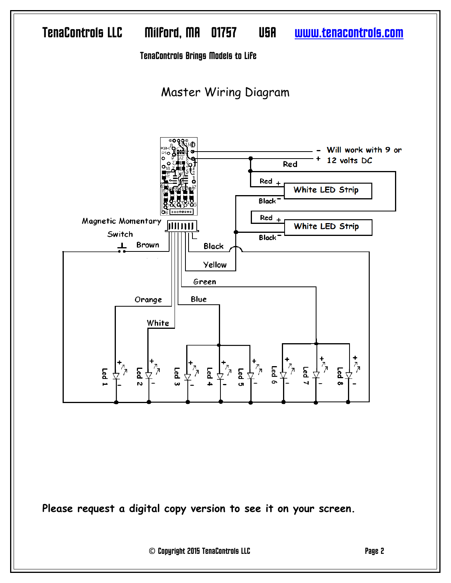

**Please request a digital copy version to see it on your screen.** 

© Copyright 2015 Ten^Controls LLC P^ge 2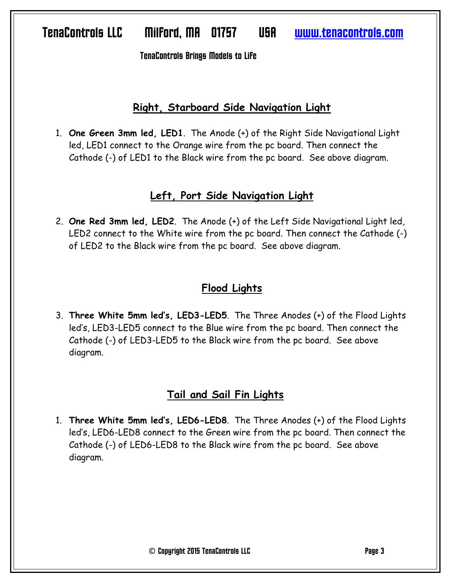Ten^Controls Brings Models to Life

#### **Right, Starboard Side Navigation Light**

1. **One Green 3mm led, LED1**. The Anode (+) of the Right Side Navigational Light led, LED1 connect to the Orange wire from the pc board. Then connect the Cathode (-) of LED1 to the Black wire from the pc board. See above diagram.

#### **Left, Port Side Navigation Light**

2. **One Red 3mm led, LED2**. The Anode (+) of the Left Side Navigational Light led, LED2 connect to the White wire from the pc board. Then connect the Cathode (-) of LED2 to the Black wire from the pc board. See above diagram.

### **Flood Lights**

3. **Three White 5mm led's, LED3-LED5**. The Three Anodes (+) of the Flood Lights led's, LED3-LED5 connect to the Blue wire from the pc board. Then connect the Cathode (-) of LED3-LED5 to the Black wire from the pc board. See above diagram.

### **Tail and Sail Fin Lights**

1. **Three White 5mm led's, LED6-LED8**. The Three Anodes (+) of the Flood Lights led's, LED6-LED8 connect to the Green wire from the pc board. Then connect the Cathode (-) of LED6-LED8 to the Black wire from the pc board. See above diagram.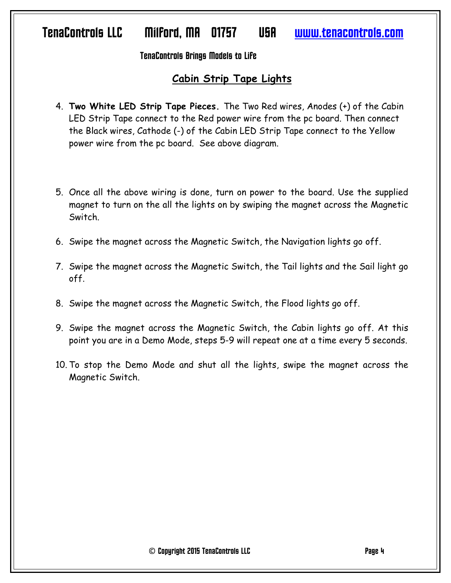#### TenaControls Brings Models to Life

#### **Cabin Strip Tape Lights**

- 4. **Two White LED Strip Tape Pieces.** The Two Red wires, Anodes (+) of the Cabin LED Strip Tape connect to the Red power wire from the pc board. Then connect the Black wires, Cathode (-) of the Cabin LED Strip Tape connect to the Yellow power wire from the pc board. See above diagram.
- 5. Once all the above wiring is done, turn on power to the board. Use the supplied magnet to turn on the all the lights on by swiping the magnet across the Magnetic Switch.
- 6. Swipe the magnet across the Magnetic Switch, the Navigation lights go off.
- 7. Swipe the magnet across the Magnetic Switch, the Tail lights and the Sail light go off.
- 8. Swipe the magnet across the Magnetic Switch, the Flood lights go off.
- 9. Swipe the magnet across the Magnetic Switch, the Cabin lights go off. At this point you are in a Demo Mode, steps 5-9 will repeat one at a time every 5 seconds.
- 10. To stop the Demo Mode and shut all the lights, swipe the magnet across the Magnetic Switch.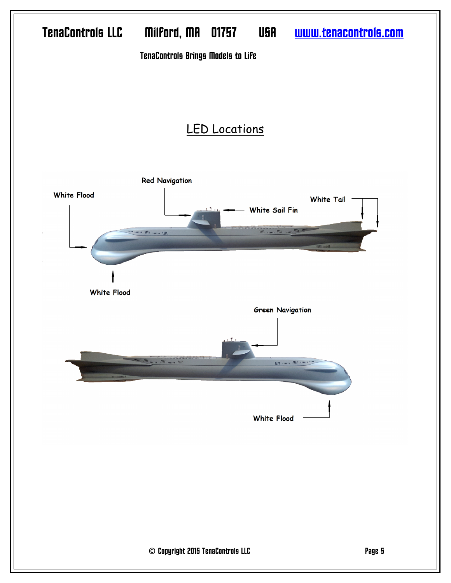